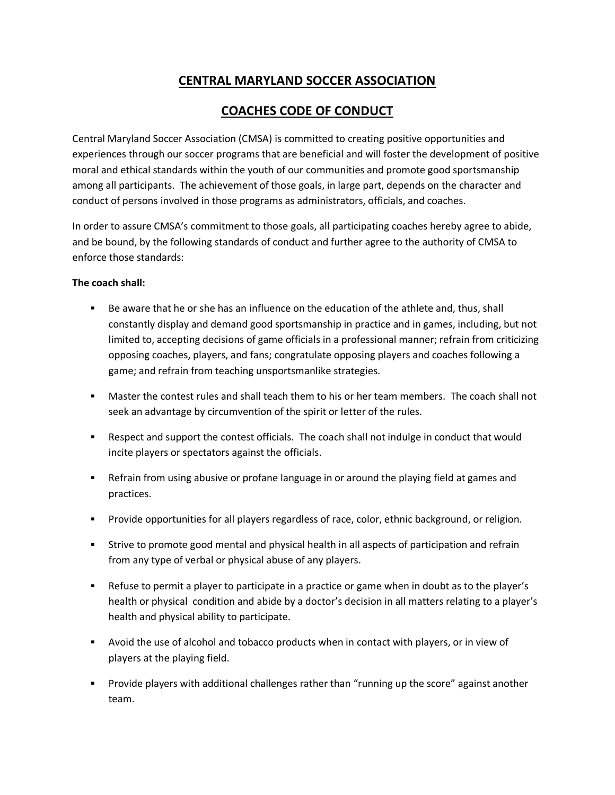# **CENTRAL MARYLAND SOCCER ASSOCIATION**

## **COACHES CODE OF CONDUCT**

Central Maryland Soccer Association (CMSA) is committed to creating positive opportunities and experiences through our soccer programs that are beneficial and will foster the development of positive moral and ethical standards within the youth of our communities and promote good sportsmanship among all participants. The achievement of those goals, in large part, depends on the character and conduct of persons involved in those programs as administrators, officials, and coaches.

In order to assure CMSA's commitment to those goals, all participating coaches hereby agree to abide, and be bound, by the following standards of conduct and further agree to the authority of CMSA to enforce those standards:

#### **The coach shall:**

- Be aware that he or she has an influence on the education of the athlete and, thus, shall constantly display and demand good sportsmanship in practice and in games, including, but not limited to, accepting decisions of game officials in a professional manner; refrain from criticizing opposing coaches, players, and fans; congratulate opposing players and coaches following a game; and refrain from teaching unsportsmanlike strategies.
- Master the contest rules and shall teach them to his or her team members. The coach shall not seek an advantage by circumvention of the spirit or letter of the rules.
- Respect and support the contest officials. The coach shall not indulge in conduct that would incite players or spectators against the officials.
- Refrain from using abusive or profane language in or around the playing field at games and practices.
- Provide opportunities for all players regardless of race, color, ethnic background, or religion.
- Strive to promote good mental and physical health in all aspects of participation and refrain from any type of verbal or physical abuse of any players.
- Refuse to permit a player to participate in a practice or game when in doubt as to the player's health or physical condition and abide by a doctor's decision in all matters relating to a player's health and physical ability to participate.
- Avoid the use of alcohol and tobacco products when in contact with players, or in view of players at the playing field.
- Provide players with additional challenges rather than "running up the score" against another team.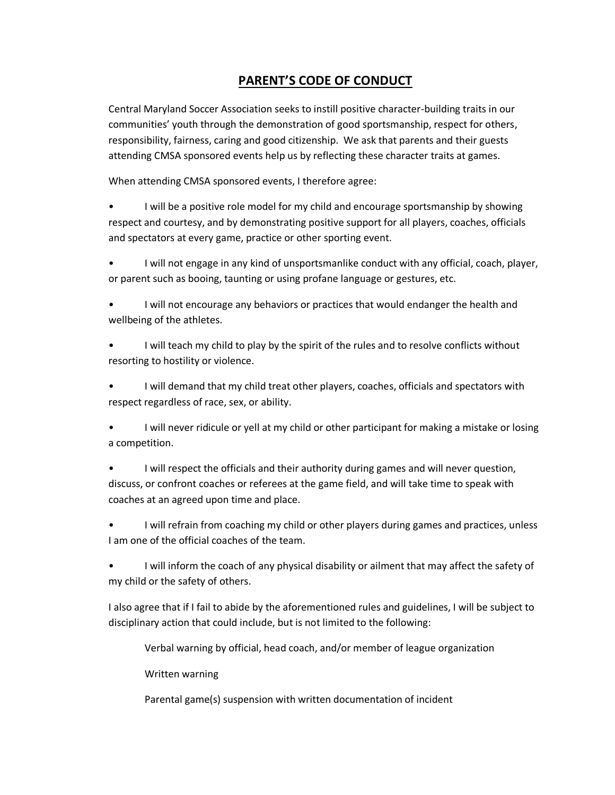# **PARENT'S CODE OF CONDUCT**

Central Maryland Soccer Association seeks to instill positive character-building traits in our communities' youth through the demonstration of good sportsmanship, respect for others, responsibility, fairness, caring and good citizenship. We ask that parents and their guests attending CMSA sponsored events help us by reflecting these character traits at games.

When attending CMSA sponsored events, I therefore agree:

• I will be a positive role model for my child and encourage sportsmanship by showing respect and courtesy, and by demonstrating positive support for all players, coaches, officials and spectators at every game, practice or other sporting event.

• I will not engage in any kind of unsportsmanlike conduct with any official, coach, player, or parent such as booing, taunting or using profane language or gestures, etc.

• I will not encourage any behaviors or practices that would endanger the health and wellbeing of the athletes.

• I will teach my child to play by the spirit of the rules and to resolve conflicts without resorting to hostility or violence.

• I will demand that my child treat other players, coaches, officials and spectators with respect regardless of race, sex, or ability.

• I will never ridicule or yell at my child or other participant for making a mistake or losing a competition.

• I will respect the officials and their authority during games and will never question, discuss, or confront coaches or referees at the game field, and will take time to speak with coaches at an agreed upon time and place.

• I will refrain from coaching my child or other players during games and practices, unless I am one of the official coaches of the team.

• I will inform the coach of any physical disability or ailment that may affect the safety of my child or the safety of others.

I also agree that if I fail to abide by the aforementioned rules and guidelines, I will be subject to disciplinary action that could include, but is not limited to the following:

Verbal warning by official, head coach, and/or member of league organization

Written warning

Parental game(s) suspension with written documentation of incident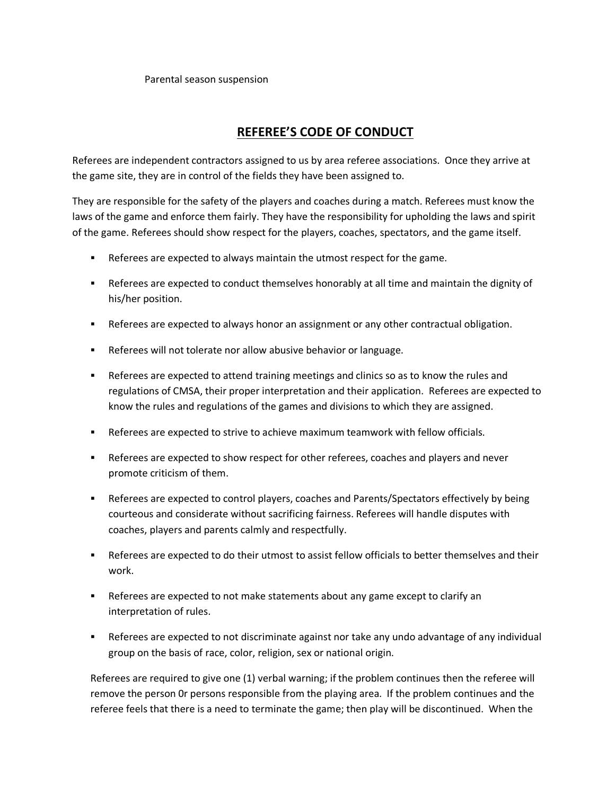#### Parental season suspension

## **REFEREE'S CODE OF CONDUCT**

Referees are independent contractors assigned to us by area referee associations. Once they arrive at the game site, they are in control of the fields they have been assigned to.

They are responsible for the safety of the players and coaches during a match. Referees must know the laws of the game and enforce them fairly. They have the responsibility for upholding the laws and spirit of the game. Referees should show respect for the players, coaches, spectators, and the game itself.

- **EXEL** Referees are expected to always maintain the utmost respect for the game.
- Referees are expected to conduct themselves honorably at all time and maintain the dignity of his/her position.
- **EXPEREES ARE EXPECTED KID ADDET AT A LOCAL A LOCAL A LOCAL A LOCAL A LOCAL A LOCAL A LOCAL A LOCAL A LOCAL A LOCAL A LOCAL A LOCAL A LOCAL A LOCAL A LOCAL A LOCAL A LOCAL A LOCAL A LOCAL A LOCAL A LOCAL A LOCAL A LOCAL A**
- **EXECTE:** Referees will not tolerate nor allow abusive behavior or language.
- **EXE** Referees are expected to attend training meetings and clinics so as to know the rules and regulations of CMSA, their proper interpretation and their application. Referees are expected to know the rules and regulations of the games and divisions to which they are assigned.
- Referees are expected to strive to achieve maximum teamwork with fellow officials.
- **EXEL** Referees are expected to show respect for other referees, coaches and players and never promote criticism of them.
- Referees are expected to control players, coaches and Parents/Spectators effectively by being courteous and considerate without sacrificing fairness. Referees will handle disputes with coaches, players and parents calmly and respectfully.
- Referees are expected to do their utmost to assist fellow officials to better themselves and their work.
- Referees are expected to not make statements about any game except to clarify an interpretation of rules.
- Referees are expected to not discriminate against nor take any undo advantage of any individual group on the basis of race, color, religion, sex or national origin.

Referees are required to give one (1) verbal warning; if the problem continues then the referee will remove the person 0r persons responsible from the playing area. If the problem continues and the referee feels that there is a need to terminate the game; then play will be discontinued. When the